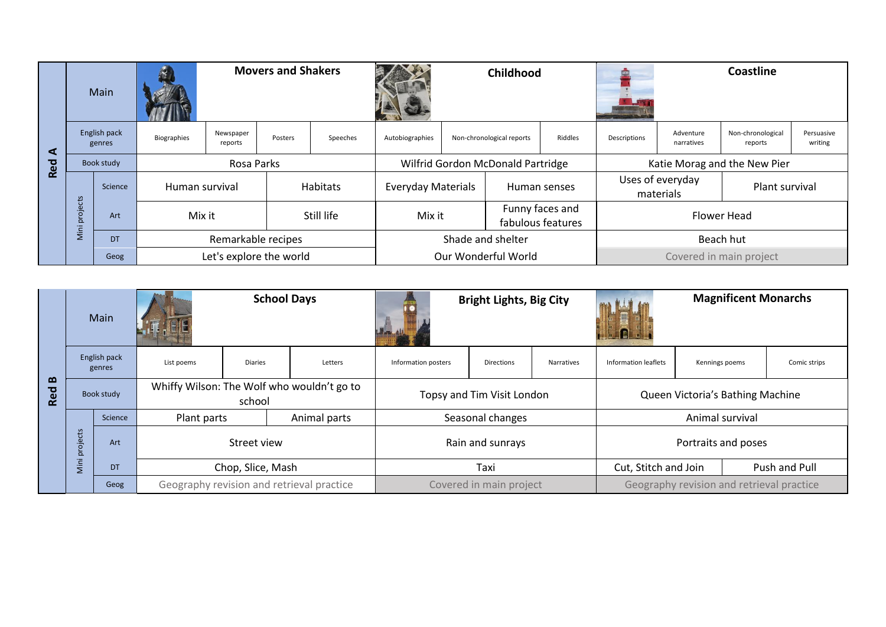|     | Main                                       |           | <b>Movers and Shakers</b> |                         |         |            |                     | Childhood                                      |                                   |              | <b>Coastline</b>                                |                         |                              |                       |
|-----|--------------------------------------------|-----------|---------------------------|-------------------------|---------|------------|---------------------|------------------------------------------------|-----------------------------------|--------------|-------------------------------------------------|-------------------------|------------------------------|-----------------------|
| ⋖   | English pack<br>genres                     |           | Biographies               | Newspaper<br>reports    | Posters | Speeches   | Autobiographies     | Non-chronological reports<br>Riddles           |                                   |              | Descriptions                                    | Adventure<br>narratives | Non-chronological<br>reports | Persuasive<br>writing |
| Red | Book study                                 |           | Rosa Parks                |                         |         |            |                     |                                                | Wilfrid Gordon McDonald Partridge |              |                                                 |                         | Katie Morag and the New Pier |                       |
|     | $\overline{\text{c}}$                      | Science   | Human survival            |                         |         | Habitats   |                     | <b>Everyday Materials</b>                      |                                   | Human senses | Uses of everyday<br>Plant survival<br>materials |                         |                              |                       |
|     | öe<br>$\Omega$<br>$\overline{\phantom{0}}$ | Art       | Mix it                    |                         |         | Still life |                     | Funny faces and<br>Mix it<br>fabulous features |                                   |              | Flower Head                                     |                         |                              |                       |
|     | Mini                                       | <b>DT</b> |                           | Remarkable recipes      |         |            |                     |                                                | Shade and shelter                 |              |                                                 | Beach hut               |                              |                       |
|     |                                            | Geog      |                           | Let's explore the world |         |            | Our Wonderful World |                                                |                                   |              | Covered in main project                         |                         |                              |                       |

|                          | Main                   |           | <b>School Days</b>                         |                                           |              |                     | <b>Bright Lights, Big City</b> |            | <b>Magnificent Monarchs</b><br>. [ <u>1]</u> |                     |              |  |  |
|--------------------------|------------------------|-----------|--------------------------------------------|-------------------------------------------|--------------|---------------------|--------------------------------|------------|----------------------------------------------|---------------------|--------------|--|--|
|                          | English pack<br>genres |           | List poems                                 | <b>Diaries</b>                            | Letters      | Information posters | Directions                     | Narratives | Information leaflets                         | Kennings poems      | Comic strips |  |  |
| $\mathbf{\Omega}$<br>Red | Book study             |           | Whiffy Wilson: The Wolf who wouldn't go to | school                                    |              |                     | Topsy and Tim Visit London     |            | Queen Victoria's Bathing Machine             |                     |              |  |  |
|                          |                        | Science   | Plant parts                                |                                           | Animal parts |                     | Seasonal changes               |            |                                              | Animal survival     |              |  |  |
|                          | projects               | Art       | Street view                                |                                           |              |                     | Rain and sunrays               |            |                                              | Portraits and poses |              |  |  |
|                          | Mini                   | <b>DT</b> | Chop, Slice, Mash                          |                                           |              |                     | Taxi                           |            | Cut, Stitch and Join<br>Push and Pull        |                     |              |  |  |
|                          |                        | Geog      |                                            | Geography revision and retrieval practice |              |                     | Covered in main project        |            | Geography revision and retrieval practice    |                     |              |  |  |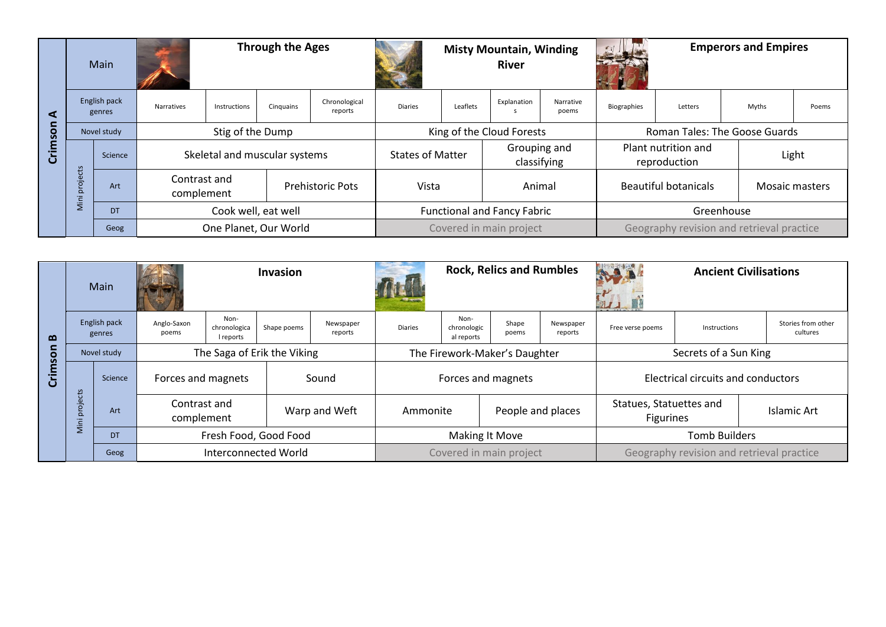|              | Main                   |           |                            | <b>Through the Ages</b> |                               |                                  |                | <b>Misty Mountain, Winding</b><br><b>River</b>         |                           |                    |                                           | <b>Emperors and Empires</b>         |       |                |  |
|--------------|------------------------|-----------|----------------------------|-------------------------|-------------------------------|----------------------------------|----------------|--------------------------------------------------------|---------------------------|--------------------|-------------------------------------------|-------------------------------------|-------|----------------|--|
| $\mathbf{I}$ | English pack<br>genres |           | Narratives                 | Instructions            | Cinguains                     | Chronological<br>reports         | <b>Diaries</b> | Leaflets                                               | Explanation               | Narrative<br>poems | <b>Biographies</b>                        | Letters                             | Myths | Poems          |  |
| Q            | Novel study            |           |                            | Stig of the Dump        |                               |                                  |                |                                                        | King of the Cloud Forests |                    |                                           | Roman Tales: The Goose Guards       |       |                |  |
| $\bar{5}$    |                        | Science   |                            |                         | Skeletal and muscular systems |                                  |                | Grouping and<br><b>States of Matter</b><br>classifying |                           |                    |                                           | Plant nutrition and<br>reproduction |       | Light          |  |
|              | projects               | Art       | Contrast and<br>complement |                         |                               | <b>Prehistoric Pots</b><br>Vista |                |                                                        | Animal                    |                    | <b>Beautiful botanicals</b>               |                                     |       | Mosaic masters |  |
|              | Mini                   | <b>DT</b> | Cook well, eat well        |                         |                               |                                  |                | <b>Functional and Fancy Fabric</b>                     |                           |                    | Greenhouse                                |                                     |       |                |  |
|              |                        | Geog      |                            | One Planet, Our World   |                               |                                  |                | Covered in main project                                |                           |                    | Geography revision and retrieval practice |                                     |       |                |  |

| $\boldsymbol{\omega}$ | Main                   |         | <b>Invasion</b>            |                                   |             |                               | <b>Rock, Relics and Rumbles</b> |                                   |                |                       | <b>Ancient Civilisations</b>                |                                    |                                |  |  |
|-----------------------|------------------------|---------|----------------------------|-----------------------------------|-------------|-------------------------------|---------------------------------|-----------------------------------|----------------|-----------------------|---------------------------------------------|------------------------------------|--------------------------------|--|--|
|                       | English pack<br>genres |         | Anglo-Saxon<br>poems       | Non-<br>chronologica<br>l reports | Shape poems | Newspaper<br>reports          | <b>Diaries</b>                  | Non-<br>chronologic<br>al reports | Shape<br>poems | Newspaper<br>reports  | Free verse poems                            | Instructions                       | Stories from other<br>cultures |  |  |
| o<br><b>S</b>         | Novel study            |         |                            | The Saga of Erik the Viking       |             | The Firework-Maker's Daughter |                                 |                                   |                | Secrets of a Sun King |                                             |                                    |                                |  |  |
|                       |                        | Science | Forces and magnets         |                                   |             | Sound                         |                                 | Forces and magnets                |                |                       |                                             | Electrical circuits and conductors |                                |  |  |
|                       | projects               | Art     | Contrast and<br>complement |                                   |             | Warp and Weft                 |                                 | People and places<br>Ammonite     |                |                       | Statues, Statuettes and<br><b>Figurines</b> |                                    | Islamic Art                    |  |  |
|                       | Mini                   | DT      | Fresh Food, Good Food      |                                   |             |                               |                                 | <b>Making It Move</b>             |                |                       |                                             | <b>Tomb Builders</b>               |                                |  |  |
|                       |                        | Geog    | Interconnected World       |                                   |             |                               | Covered in main project         |                                   |                |                       | Geography revision and retrieval practice   |                                    |                                |  |  |